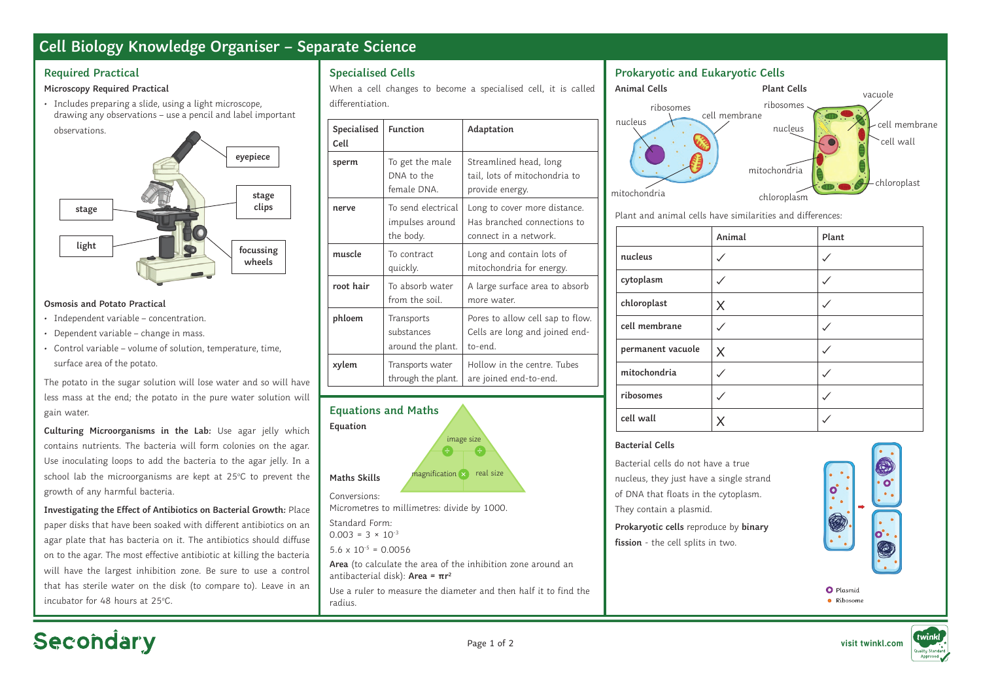## **Cell Biology Knowledge Organiser – Separate Science**

#### **Required Practical**

#### **Microscopy Required Practical**

• Includes preparing a slide, using a light microscope, drawing any observations – use a pencil and label important



#### **Osmosis and Potato Practical**

- Independent variable concentration.
- Dependent variable change in mass.
- Control variable volume of solution, temperature, time, surface area of the potato.

The potato in the sugar solution will lose water and so will have less mass at the end; the potato in the pure water solution will gain water.

**Culturing Microorganisms in the Lab:** Use agar jelly which contains nutrients. The bacteria will form colonies on the agar. Use inoculating loops to add the bacteria to the agar jelly. In a school lab the microorganisms are kept at 25°C to prevent the growth of any harmful bacteria.

**Investigating the Effect of Antibiotics on Bacterial Growth:** Place paper disks that have been soaked with different antibiotics on an agar plate that has bacteria on it. The antibiotics should diffuse on to the agar. The most effective antibiotic at killing the bacteria will have the largest inhibition zone. Be sure to use a control that has sterile water on the disk (to compare to). Leave in an incubator for 48 hours at 25°C.

## **Specialised Cells**

When a cell changes to become a specialised cell, it is called differentiation.

| Specialised<br>Cell | <b>Function</b>                                    | Adaptation                                                                           |
|---------------------|----------------------------------------------------|--------------------------------------------------------------------------------------|
| sperm               | To get the male<br>DNA to the<br>female DNA.       | Streamlined head, long<br>tail, lots of mitochondria to<br>provide energy.           |
| nerve               | To send electrical<br>impulses around<br>the body. | Long to cover more distance.<br>Has branched connections to<br>connect in a network. |
| muscle              | To contract<br>quickly.                            | Long and contain lots of<br>mitochondria for energy.                                 |
| root hair           | To absorb water<br>from the soil.                  | A large surface area to absorb<br>more water.                                        |
| phloem              | Transports<br>substances<br>around the plant.      | Pores to allow cell sap to flow.<br>Cells are long and joined end-<br>to-end.        |
| xylem               | Transports water<br>through the plant.             | Hollow in the centre. Tubes<br>are joined end-to-end.                                |



## **Prokaryotic and Eukaryotic Cells**



Plant and animal cells have similarities and differences:

|                   | Animal | Plant |
|-------------------|--------|-------|
| nucleus           |        |       |
| cytoplasm         |        |       |
| chloroplast       | X      |       |
| cell membrane     |        |       |
| permanent vacuole | X      |       |
| mitochondria      |        |       |
| ribosomes         |        |       |
| cell wall         |        |       |

#### **Bacterial Cells**

Bacterial cells do not have a true nucleus, they just have a single strand of DNA that floats in the cytoplasm. They contain a plasmid.

**Prokaryotic cells** reproduce by **binary fission** - the cell splits in two.



O Plasmid · Ribosome



# Secondary